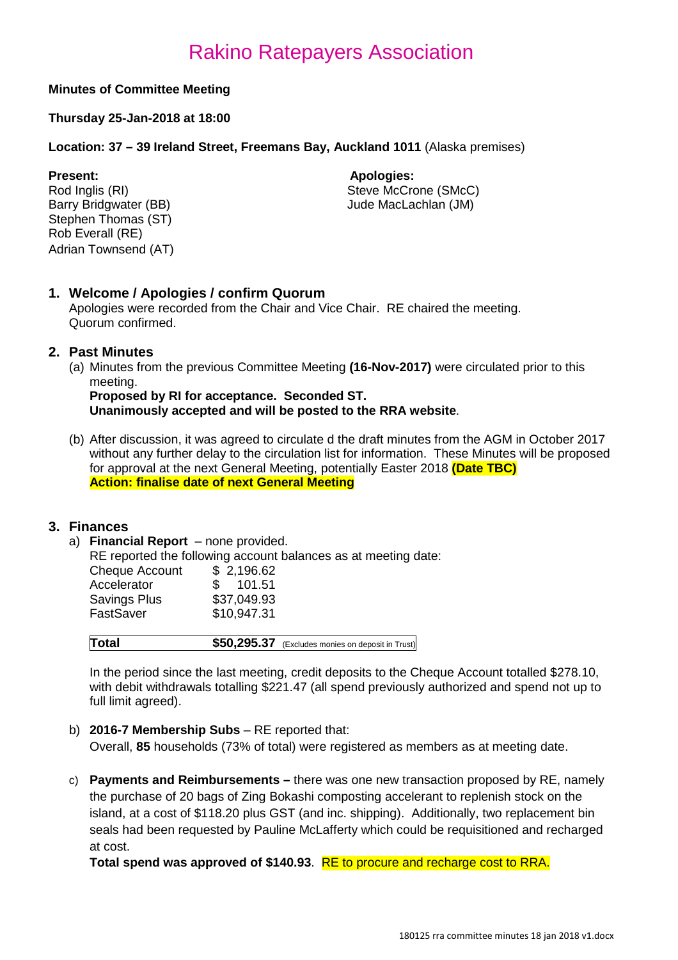#### **Minutes of Committee Meeting**

#### **Thursday 25-Jan-2018 at 18:00**

**Location: 37 – 39 Ireland Street, Freemans Bay, Auckland 1011** (Alaska premises)

**Present: Apologies: Apologies: Apologies: Apologies: Apologies: Apologies: Apologies: Apologies: Apologies: Apologies: Apologies: Apologies: Apologies: Apologies: Apologies: Apologies: Ap** Stephen Thomas (ST) Rob Everall (RE) Adrian Townsend (AT)

Rod Inglis (RI)<br>
Barry Bridgwater (BB)<br>
Steve McCrone (SMcC)<br>
Jude MacLachlan (JM) Jude MacLachlan (JM)

#### **1. Welcome / Apologies / confirm Quorum**

Apologies were recorded from the Chair and Vice Chair. RE chaired the meeting. Quorum confirmed.

#### **2. Past Minutes**

(a) Minutes from the previous Committee Meeting **(16-Nov-2017)** were circulated prior to this meeting.

**Proposed by RI for acceptance. Seconded ST. Unanimously accepted and will be posted to the RRA website**.

(b) After discussion, it was agreed to circulate d the draft minutes from the AGM in October 2017 without any further delay to the circulation list for information. These Minutes will be proposed for approval at the next General Meeting, potentially Easter 2018 **(Date TBC) Action: finalise date of next General Meeting**

#### **3. Finances**

a) **Financial Report** – none provided.

RE reported the following account balances as at meeting date:

| <b>Cheque Account</b> | \$2,196.62    |
|-----------------------|---------------|
| Accelerator           | 101.51<br>SS. |
| <b>Savings Plus</b>   | \$37,049.93   |
| FastSaver             | \$10,947.31   |
|                       |               |

| Total | \$50,295.37 (Excludes monies on deposit in Trust) |
|-------|---------------------------------------------------|
|-------|---------------------------------------------------|

In the period since the last meeting, credit deposits to the Cheque Account totalled \$278.10, with debit withdrawals totalling \$221.47 (all spend previously authorized and spend not up to full limit agreed).

b) **2016-7 Membership Subs** – RE reported that:

Overall, **85** households (73% of total) were registered as members as at meeting date.

c) **Payments and Reimbursements –** there was one new transaction proposed by RE, namely the purchase of 20 bags of Zing Bokashi composting accelerant to replenish stock on the island, at a cost of \$118.20 plus GST (and inc. shipping). Additionally, two replacement bin seals had been requested by Pauline McLafferty which could be requisitioned and recharged at cost.

**Total spend was approved of \$140.93**. RE to procure and recharge cost to RRA.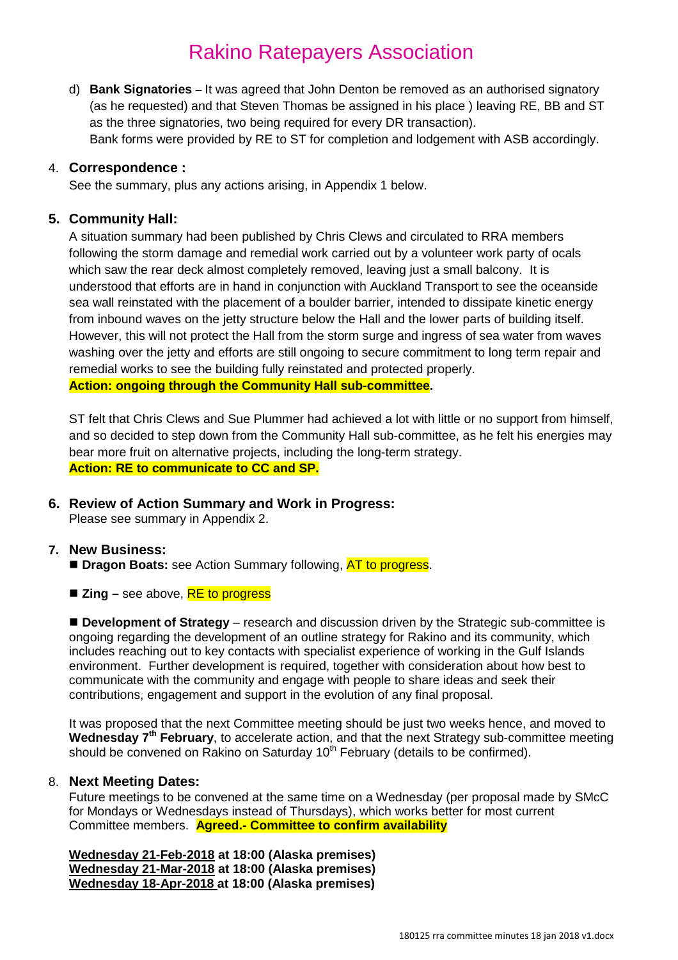d) **Bank Signatories** – It was agreed that John Denton be removed as an authorised signatory (as he requested) and that Steven Thomas be assigned in his place ) leaving RE, BB and ST as the three signatories, two being required for every DR transaction). Bank forms were provided by RE to ST for completion and lodgement with ASB accordingly.

#### 4. **Correspondence :**

See the summary, plus any actions arising, in Appendix 1 below.

#### **5. Community Hall:**

A situation summary had been published by Chris Clews and circulated to RRA members following the storm damage and remedial work carried out by a volunteer work party of ocals which saw the rear deck almost completely removed, leaving just a small balcony. It is understood that efforts are in hand in conjunction with Auckland Transport to see the oceanside sea wall reinstated with the placement of a boulder barrier, intended to dissipate kinetic energy from inbound waves on the jetty structure below the Hall and the lower parts of building itself. However, this will not protect the Hall from the storm surge and ingress of sea water from waves washing over the jetty and efforts are still ongoing to secure commitment to long term repair and remedial works to see the building fully reinstated and protected properly. **Action: ongoing through the Community Hall sub-committee.**

ST felt that Chris Clews and Sue Plummer had achieved a lot with little or no support from himself, and so decided to step down from the Community Hall sub-committee, as he felt his energies may bear more fruit on alternative projects, including the long-term strategy. **Action: RE to communicate to CC and SP.**

#### **6. Review of Action Summary and Work in Progress:**

Please see summary in Appendix 2.

#### **7. New Business:**

- **Dragon Boats:** see Action Summary following, AT to progress.
- Zing see above, **RE to progress**

■ **Development of Strategy** – research and discussion driven by the Strategic sub-committee is ongoing regarding the development of an outline strategy for Rakino and its community, which includes reaching out to key contacts with specialist experience of working in the Gulf Islands environment. Further development is required, together with consideration about how best to communicate with the community and engage with people to share ideas and seek their contributions, engagement and support in the evolution of any final proposal.

It was proposed that the next Committee meeting should be just two weeks hence, and moved to Wednesday 7<sup>th</sup> February, to accelerate action, and that the next Strategy sub-committee meeting should be convened on Rakino on Saturday 10<sup>th</sup> February (details to be confirmed).

#### 8. **Next Meeting Dates:**

Future meetings to be convened at the same time on a Wednesday (per proposal made by SMcC for Mondays or Wednesdays instead of Thursdays), which works better for most current Committee members. **Agreed.- Committee to confirm availability**

**Wednesday 21-Feb-2018 at 18:00 (Alaska premises) Wednesday 21-Mar-2018 at 18:00 (Alaska premises) Wednesday 18-Apr-2018 at 18:00 (Alaska premises)**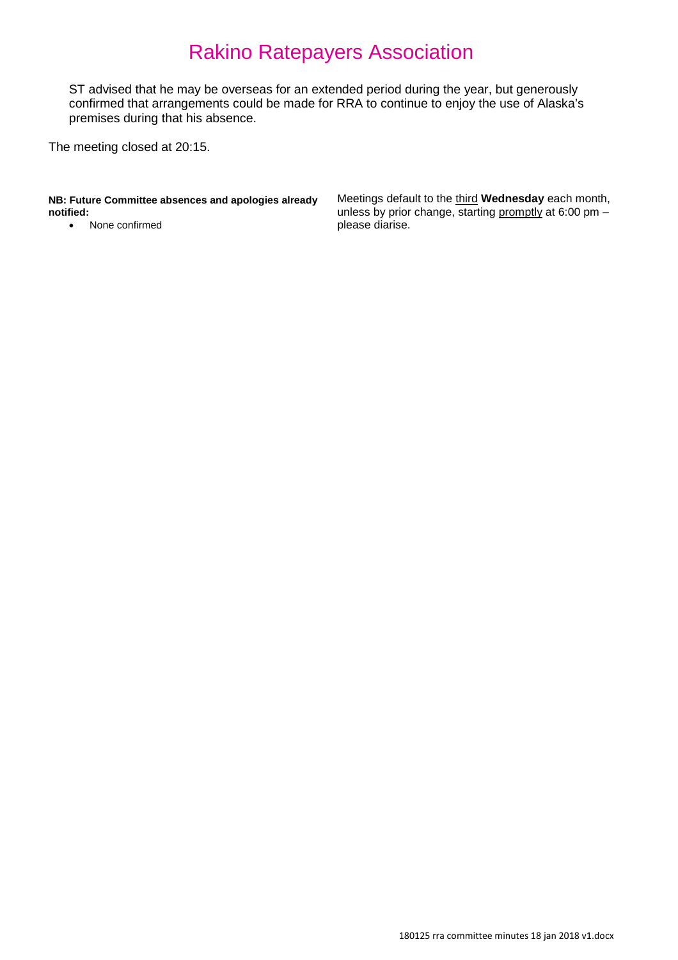ST advised that he may be overseas for an extended period during the year, but generously confirmed that arrangements could be made for RRA to continue to enjoy the use of Alaska's premises during that his absence.

The meeting closed at 20:15.

**NB: Future Committee absences and apologies already notified:**

• None confirmed

Meetings default to the third **Wednesday** each month, unless by prior change, starting promptly at 6:00 pm please diarise.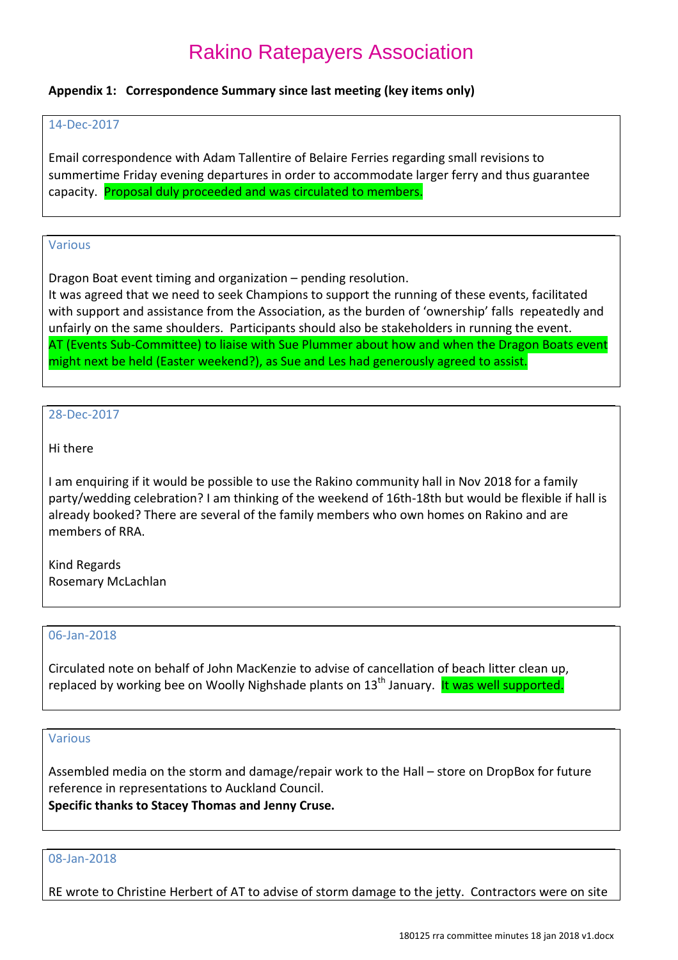#### **Appendix 1: Correspondence Summary since last meeting (key items only)**

#### 14-Dec-2017

Email correspondence with Adam Tallentire of Belaire Ferries regarding small revisions to summertime Friday evening departures in order to accommodate larger ferry and thus guarantee capacity. Proposal duly proceeded and was circulated to members.

#### Various

Dragon Boat event timing and organization – pending resolution.

It was agreed that we need to seek Champions to support the running of these events, facilitated with support and assistance from the Association, as the burden of 'ownership' falls repeatedly and unfairly on the same shoulders. Participants should also be stakeholders in running the event. AT (Events Sub-Committee) to liaise with Sue Plummer about how and when the Dragon Boats event might next be held (Easter weekend?), as Sue and Les had generously agreed to assist.

#### 28-Dec-2017

#### Hi there

I am enquiring if it would be possible to use the Rakino community hall in Nov 2018 for a family party/wedding celebration? I am thinking of the weekend of 16th-18th but would be flexible if hall is already booked? There are several of the family members who own homes on Rakino and are members of RRA.

Kind Regards Rosemary McLachlan

#### 06-Jan-2018

Circulated note on behalf of John MacKenzie to advise of cancellation of beach litter clean up, replaced by working bee on Woolly Nighshade plants on 13<sup>th</sup> January. **It was well supported.** 

#### Various

Assembled media on the storm and damage/repair work to the Hall – store on DropBox for future reference in representations to Auckland Council. **Specific thanks to Stacey Thomas and Jenny Cruse.**

#### 08-Jan-2018

RE wrote to Christine Herbert of AT to advise of storm damage to the jetty. Contractors were on site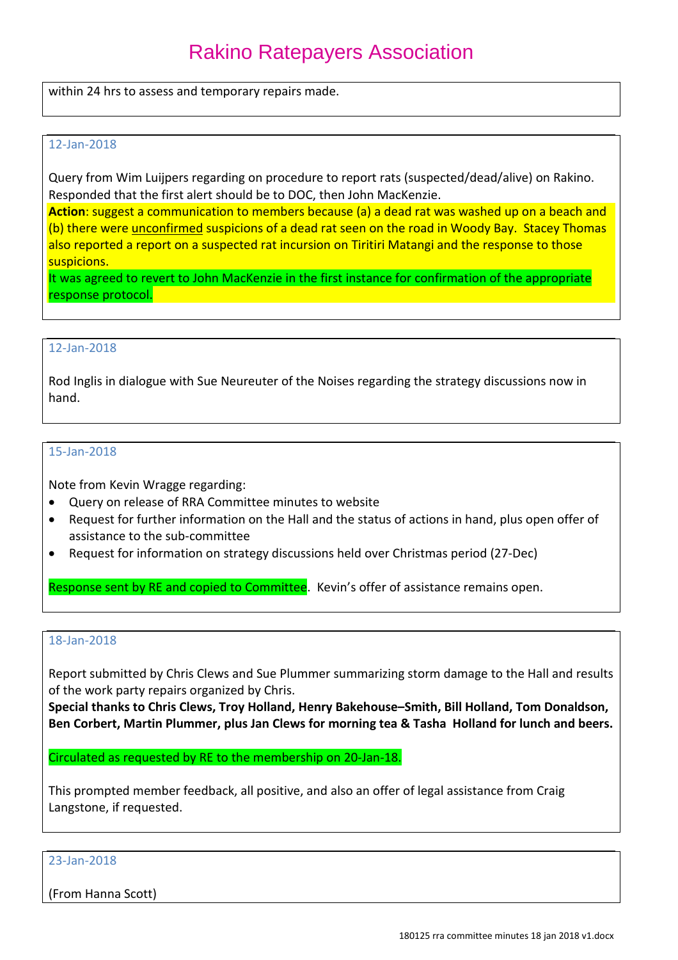within 24 hrs to assess and temporary repairs made.

#### 12-Jan-2018

Query from Wim Luijpers regarding on procedure to report rats (suspected/dead/alive) on Rakino. Responded that the first alert should be to DOC, then John MacKenzie.

**Action**: suggest a communication to members because (a) a dead rat was washed up on a beach and (b) there were unconfirmed suspicions of a dead rat seen on the road in Woody Bay. Stacey Thomas also reported a report on a suspected rat incursion on Tiritiri Matangi and the response to those suspicions.

It was agreed to revert to John MacKenzie in the first instance for confirmation of the appropriate response protocol.

#### 12-Jan-2018

Rod Inglis in dialogue with Sue Neureuter of the Noises regarding the strategy discussions now in hand.

#### 15-Jan-2018

Note from Kevin Wragge regarding:

- Query on release of RRA Committee minutes to website
- Request for further information on the Hall and the status of actions in hand, plus open offer of assistance to the sub-committee
- Request for information on strategy discussions held over Christmas period (27-Dec)

Response sent by RE and copied to Committee. Kevin's offer of assistance remains open.

#### 18-Jan-2018

Report submitted by Chris Clews and Sue Plummer summarizing storm damage to the Hall and results of the work party repairs organized by Chris.

**Special thanks to Chris Clews, Troy Holland, Henry Bakehouse–Smith, Bill Holland, Tom Donaldson, Ben Corbert, Martin Plummer, plus Jan Clews for morning tea & Tasha Holland for lunch and beers.**

Circulated as requested by RE to the membership on 20-Jan-18.

This prompted member feedback, all positive, and also an offer of legal assistance from Craig Langstone, if requested.

23-Jan-2018

(From Hanna Scott)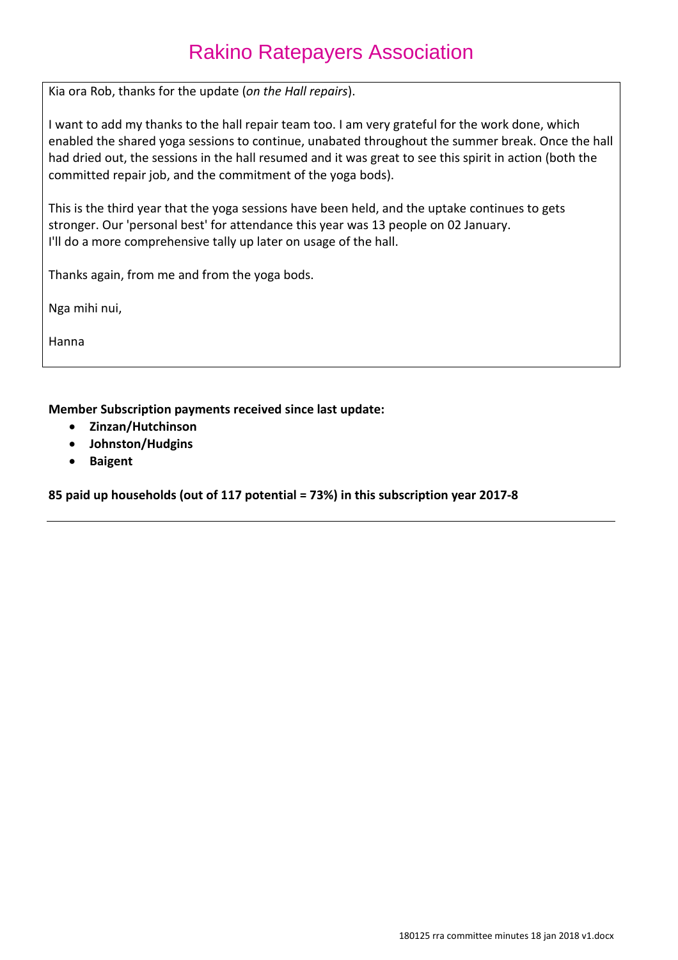Kia ora Rob, thanks for the update (*on the Hall repairs*).

I want to add my thanks to the hall repair team too. I am very grateful for the work done, which enabled the shared yoga sessions to continue, unabated throughout the summer break. Once the hall had dried out, the sessions in the hall resumed and it was great to see this spirit in action (both the committed repair job, and the commitment of the yoga bods).

This is the third year that the yoga sessions have been held, and the uptake continues to gets stronger. Our 'personal best' for attendance this year was 13 people on 02 January. I'll do a more comprehensive tally up later on usage of the hall.

Thanks again, from me and from the yoga bods.

Nga mihi nui,

Hanna

**Member Subscription payments received since last update:**

- **Zinzan/Hutchinson**
- **Johnston/Hudgins**
- **Baigent**

**85 paid up households (out of 117 potential = 73%) in this subscription year 2017-8**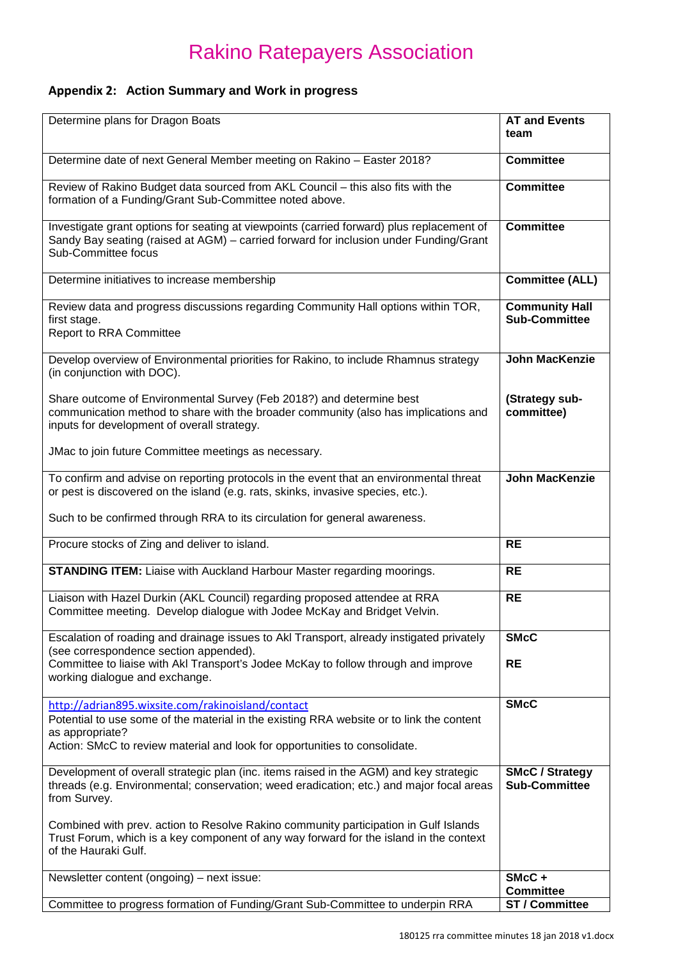### **Appendix 2: Action Summary and Work in progress**

| Determine plans for Dragon Boats                                                                                                                                                                                                               | <b>AT and Events</b><br>team                   |
|------------------------------------------------------------------------------------------------------------------------------------------------------------------------------------------------------------------------------------------------|------------------------------------------------|
| Determine date of next General Member meeting on Rakino - Easter 2018?                                                                                                                                                                         | <b>Committee</b>                               |
| Review of Rakino Budget data sourced from AKL Council - this also fits with the<br>formation of a Funding/Grant Sub-Committee noted above.                                                                                                     | <b>Committee</b>                               |
| Investigate grant options for seating at viewpoints (carried forward) plus replacement of<br>Sandy Bay seating (raised at AGM) - carried forward for inclusion under Funding/Grant<br>Sub-Committee focus                                      | <b>Committee</b>                               |
| Determine initiatives to increase membership                                                                                                                                                                                                   | <b>Committee (ALL)</b>                         |
| Review data and progress discussions regarding Community Hall options within TOR,<br>first stage.<br><b>Report to RRA Committee</b>                                                                                                            | <b>Community Hall</b><br><b>Sub-Committee</b>  |
| Develop overview of Environmental priorities for Rakino, to include Rhamnus strategy<br>(in conjunction with DOC).                                                                                                                             | <b>John MacKenzie</b>                          |
| Share outcome of Environmental Survey (Feb 2018?) and determine best<br>communication method to share with the broader community (also has implications and<br>inputs for development of overall strategy.                                     | (Strategy sub-<br>committee)                   |
| JMac to join future Committee meetings as necessary.                                                                                                                                                                                           |                                                |
| To confirm and advise on reporting protocols in the event that an environmental threat<br>or pest is discovered on the island (e.g. rats, skinks, invasive species, etc.).                                                                     | John MacKenzie                                 |
| Such to be confirmed through RRA to its circulation for general awareness.                                                                                                                                                                     |                                                |
| Procure stocks of Zing and deliver to island.                                                                                                                                                                                                  | <b>RE</b>                                      |
| <b>STANDING ITEM:</b> Liaise with Auckland Harbour Master regarding moorings.                                                                                                                                                                  | <b>RE</b>                                      |
| Liaison with Hazel Durkin (AKL Council) regarding proposed attendee at RRA<br>Committee meeting. Develop dialogue with Jodee McKay and Bridget Velvin.                                                                                         | <b>RE</b>                                      |
| Escalation of roading and drainage issues to Akl Transport, already instigated privately<br>(see correspondence section appended).                                                                                                             | <b>SMcC</b>                                    |
| Committee to liaise with Akl Transport's Jodee McKay to follow through and improve<br>working dialogue and exchange.                                                                                                                           | <b>RE</b>                                      |
| http://adrian895.wixsite.com/rakinoisland/contact<br>Potential to use some of the material in the existing RRA website or to link the content<br>as appropriate?<br>Action: SMcC to review material and look for opportunities to consolidate. | <b>SMcC</b>                                    |
| Development of overall strategic plan (inc. items raised in the AGM) and key strategic<br>threads (e.g. Environmental; conservation; weed eradication; etc.) and major focal areas<br>from Survey.                                             | <b>SMcC / Strategy</b><br><b>Sub-Committee</b> |
| Combined with prev. action to Resolve Rakino community participation in Gulf Islands<br>Trust Forum, which is a key component of any way forward for the island in the context<br>of the Hauraki Gulf.                                         |                                                |
| Newsletter content (ongoing) – next issue:                                                                                                                                                                                                     | SMcC+<br><b>Committee</b>                      |
| Committee to progress formation of Funding/Grant Sub-Committee to underpin RRA                                                                                                                                                                 | <b>ST / Committee</b>                          |